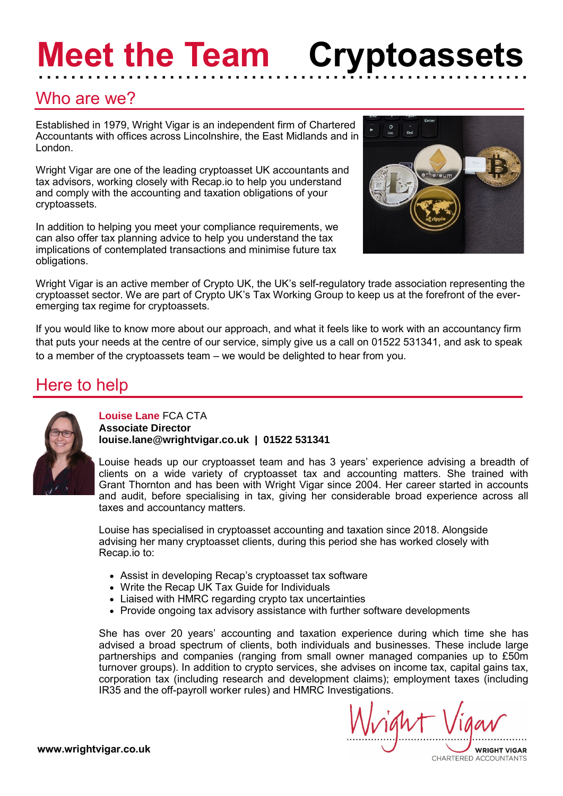# **Meet the Team**  …………………………………………………… **Cryptoassets**

# Who are we?

Established in 1979, Wright Vigar is an independent firm of Chartered Accountants with offices across Lincolnshire, the East Midlands and in London.

Wright Vigar are one of the leading cryptoasset UK accountants and tax advisors, working closely with Recap.io to help you understand and comply with the accounting and taxation obligations of your cryptoassets.

In addition to helping you meet your compliance requirements, we can also offer tax planning advice to help you understand the tax implications of contemplated transactions and minimise future tax obligations.



Wright Vigar is an active member of Crypto UK, the UK's self-regulatory trade association representing the cryptoasset sector. We are part of Crypto UK's Tax Working Group to keep us at the forefront of the everemerging tax regime for cryptoassets.

If you would like to know more about our approach, and what it feels like to work with an accountancy firm that puts your needs at the centre of our service, simply give us a call on 01522 531341, and ask to speak to a member of the cryptoassets team – we would be delighted to hear from you.

# Here to help



### **louise.lane@wrightvigar.co.uk | 01522 531341 Louise Lane** FCA CTA **Associate Director**

Louise heads up our cryptoasset team and has 3 years' experience advising a breadth of clients on a wide variety of cryptoasset tax and accounting matters. She trained with Grant Thornton and has been with Wright Vigar since 2004. Her career started in accounts and audit, before specialising in tax, giving her considerable broad experience across all taxes and accountancy matters.

Louise has specialised in cryptoasset accounting and taxation since 2018. Alongside advising her many cryptoasset clients, during this period she has worked closely with Recap.io to:

- Assist in developing Recap's cryptoasset tax software
- Write the Recap UK Tax Guide for Individuals
- Liaised with HMRC regarding crypto tax uncertainties
- Provide ongoing tax advisory assistance with further software developments

She has over 20 years' accounting and taxation experience during which time she has advised a broad spectrum of clients, both individuals and businesses. These include large partnerships and companies (ranging from small owner managed companies up to £50m turnover groups). In addition to crypto services, she advises on income tax, capital gains tax, corporation tax (including research and development claims); employment taxes (including IR35 and the off-payroll worker rules) and HMRC Investigations.

**WRIGHT VIGAR** CHARTERED ACCOUNTANTS